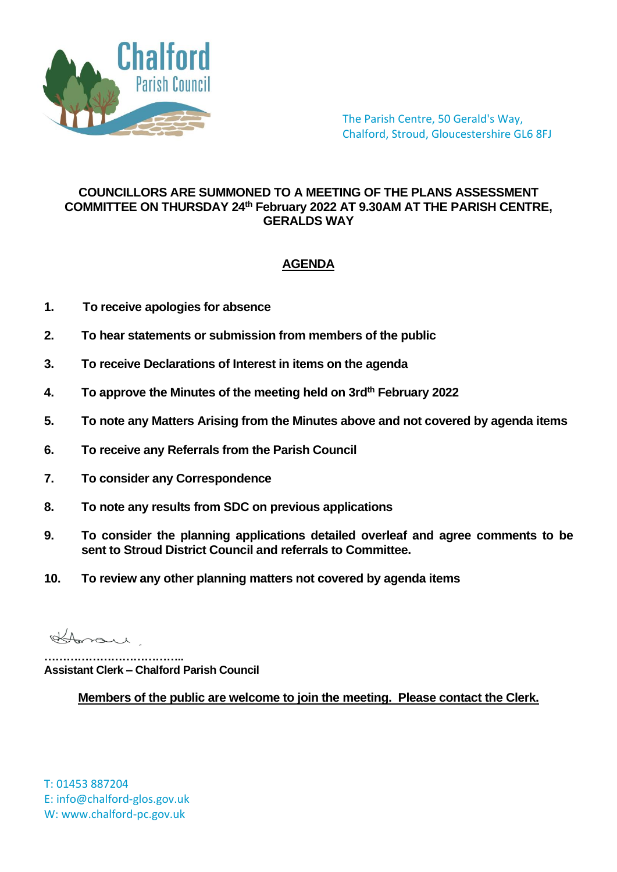

The Parish Centre, 50 Gerald's Way, Chalford, Stroud, Gloucestershire GL6 8FJ

## **COUNCILLORS ARE SUMMONED TO A MEETING OF THE PLANS ASSESSMENT COMMITTEE ON THURSDAY 24th February 2022 AT 9.30AM AT THE PARISH CENTRE, GERALDS WAY**

## **AGENDA**

- **1. To receive apologies for absence**
- **2. To hear statements or submission from members of the public**
- **3. To receive Declarations of Interest in items on the agenda**
- **4. To approve the Minutes of the meeting held on 3rdth February 2022**
- **5. To note any Matters Arising from the Minutes above and not covered by agenda items**
- **6. To receive any Referrals from the Parish Council**
- **7. To consider any Correspondence**
- **8. To note any results from SDC on previous applications**
- **9. To consider the planning applications detailed overleaf and agree comments to be sent to Stroud District Council and referrals to Committee.**
- **10. To review any other planning matters not covered by agenda items**

Horan

**……………………………….. Assistant Clerk – Chalford Parish Council**

**Members of the public are welcome to join the meeting. Please contact the Clerk.**

T: 01453 887204 E: info@chalford-glos.gov.uk W: www.chalford-pc.gov.uk